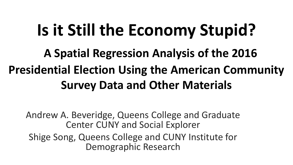## **Is it Still the Economy Stupid?**

### **A Spatial Regression Analysis of the 2016 Presidential Election Using the American Community Survey Data and Other Materials**

Andrew A. Beveridge, Queens College and Graduate Center CUNY and Social Explorer Shige Song, Queens College and CUNY Institute for Demographic Research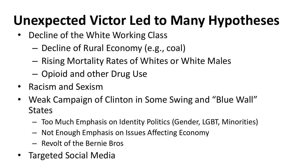### **Unexpected Victor Led to Many Hypotheses**

- Decline of the White Working Class
	- Decline of Rural Economy (e.g., coal)
	- Rising Mortality Rates of Whites or White Males
	- Opioid and other Drug Use
- Racism and Sexism
- Weak Campaign of Clinton in Some Swing and "Blue Wall" **States** 
	- Too Much Emphasis on Identity Politics (Gender, LGBT, Minorities)
	- Not Enough Emphasis on Issues Affecting Economy
	- Revolt of the Bernie Bros
- Targeted Social Media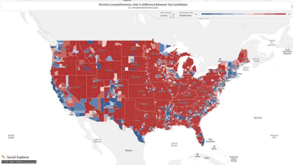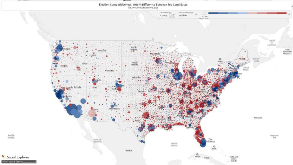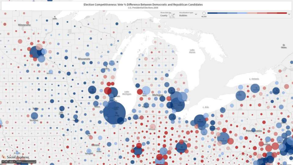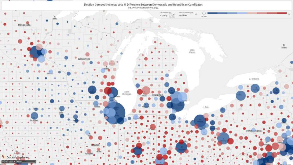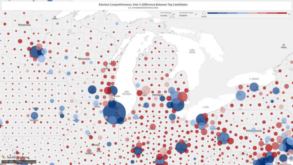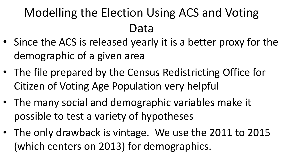### Modelling the Election Using ACS and Voting Data

- Since the ACS is released yearly it is a better proxy for the demographic of a given area
- The file prepared by the Census Redistricting Office for Citizen of Voting Age Population very helpful
- The many social and demographic variables make it possible to test a variety of hypotheses
- The only drawback is vintage. We use the 2011 to 2015 (which centers on 2013) for demographics.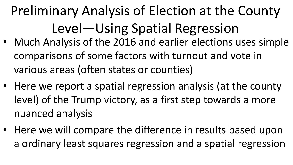## Preliminary Analysis of Election at the County Level—Using Spatial Regression

- Much Analysis of the 2016 and earlier elections uses simple comparisons of some factors with turnout and vote in various areas (often states or counties)
- Here we report a spatial regression analysis (at the county level) of the Trump victory, as a first step towards a more nuanced analysis
- Here we will compare the difference in results based upon a ordinary least squares regression and a spatial regression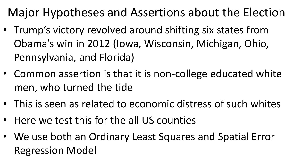Major Hypotheses and Assertions about the Election

- Trump's victory revolved around shifting six states from Obama's win in 2012 (Iowa, Wisconsin, Michigan, Ohio, Pennsylvania, and Florida)
- Common assertion is that it is non-college educated white men, who turned the tide
- This is seen as related to economic distress of such whites
- Here we test this for the all US counties
- We use both an Ordinary Least Squares and Spatial Error Regression Model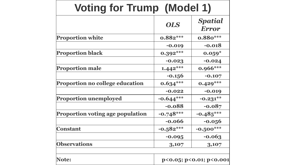| <b>Voting for Trump (Model 1)</b>       |                         |                                |
|-----------------------------------------|-------------------------|--------------------------------|
|                                         | <b>OLS</b>              | <b>Spatial</b><br><b>Error</b> |
| <b>Proportion white</b>                 | $0.882***$              | $0.880***$                     |
|                                         | $-0.019$                | $-0.018$                       |
| <b>Proportion black</b>                 | $0.392***$              | $0.059*$                       |
|                                         | $-0.023$                | $-0.024$                       |
| <b>Proportion male</b>                  | $1.442***$              | $0.966***$                     |
|                                         | $-0.156$                | $-0.107$                       |
| Proportion no college education         | $0.634***$              | $0.429***$                     |
|                                         | $-0.022$                | $-0.019$                       |
| <b>Proportion unemployed</b>            | $-0.644***$             | $-0.231**$                     |
|                                         | $-0.088$                | $-0.087$                       |
| <b>Proportion voting age population</b> | $-0.748***$             | $-0.485***$                    |
|                                         | $-0.066$                | $-0.056$                       |
| <b>Constant</b>                         | $-0.582***$             | $-0.500***$                    |
|                                         | $-0.095$                | $-0.063$                       |
| <b>Observations</b>                     | 3,107                   | 3,107                          |
| Note:                                   | p<0.05; p<0.01; p<0.001 |                                |

┑.

Е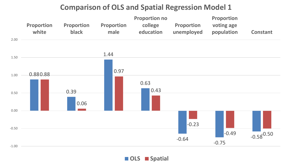#### **Comparison of OLS and Spatial Regression Model 1**



#### **OLS Spatial**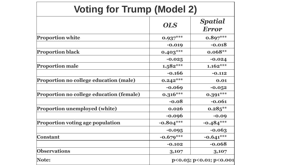| <b>Voting for Trump (Model 2)</b>        |                                 |                         |
|------------------------------------------|---------------------------------|-------------------------|
|                                          | <b>OLS</b>                      | Spatial<br><b>Error</b> |
| <b>Proportion white</b>                  | $0.937***$                      | $0.897***$              |
|                                          | $-0.019$                        | $-0.018$                |
| <b>Proportion black</b>                  | $0.403***$                      | $0.068**$               |
|                                          | $-0.025$                        | $-0.024$                |
| <b>Proportion male</b>                   | $1.582***$                      | $1.162***$              |
|                                          | $-0.166$                        | $-0.112$                |
| Proportion no college education (male)   | $0.242***$                      | 0.01                    |
|                                          | $-0.069$                        | $-0.052$                |
| Proportion no college education (female) | $0.316***$                      | $0.391***$              |
|                                          | $-0.08$                         | $-0.061$                |
| <b>Proportion unemployed (white)</b>     | 0.026                           | $0.285**$               |
|                                          | $-0.096$                        | $-0.09$                 |
| <b>Proportion voting age population</b>  | $-0.804***$                     | $-0.484***$             |
|                                          | $-0.095$                        | $-0.063$                |
| <b>Constant</b>                          | $-0.679***$                     | $-0.641***$             |
|                                          | $-0.102$                        | $-0.068$                |
| <b>Observations</b>                      | 3,107                           | 3,107                   |
| Note:                                    | $p<0.05$ ; $p<0.01$ ; $p<0.001$ |                         |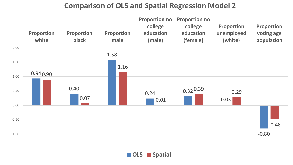### **Comparison of OLS and Spatial Regression Model 2**



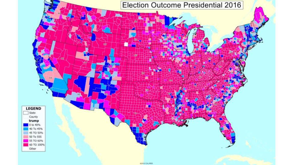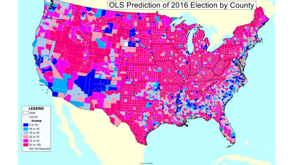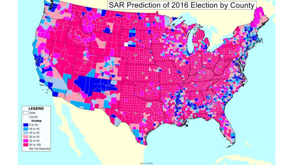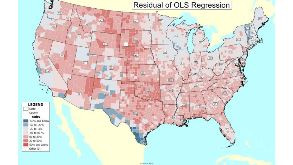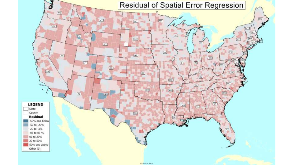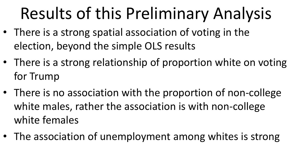# Results of this Preliminary Analysis

- There is a strong spatial association of voting in the election, beyond the simple OLS results
- There is a strong relationship of proportion white on voting for Trump
- There is no association with the proportion of non-college white males, rather the association is with non-college white females
- The association of unemployment among whites is strong